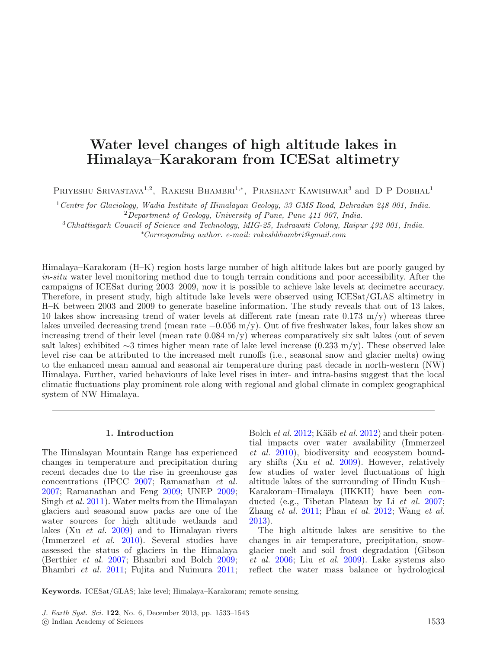# **Water level changes of high altitude lakes in Himalaya–Karakoram from ICESat altimetry**

PRIYESHU SRIVASTAVA<sup>1,2</sup>, RAKESH BHAMBRI<sup>1,\*</sup>, PRASHANT KAWISHWAR<sup>3</sup> and D P DOBHAL<sup>1</sup>

<sup>1</sup> Centre for Glaciology, Wadia Institute of Himalayan Geology, 33 GMS Road, Dehradun 248 001, India. <sup>2</sup>Department of Geology, University of Pune, Pune  $411$  007, India.

<sup>3</sup>Chhattisgarh Council of Science and Technology, MIG-25, Indrawati Colony, Raipur 492 001, India. ∗ Corresponding author. e-mail: rakeshbhambri@gmail.com

Himalaya–Karakoram (H–K) region hosts large number of high altitude lakes but are poorly gauged by in-situ water level monitoring method due to tough terrain conditions and poor accessibility. After the campaigns of ICESat during 2003–2009, now it is possible to achieve lake levels at decimetre accuracy. Therefore, in present study, high altitude lake levels were observed using ICESat/GLAS altimetry in H–K between 2003 and 2009 to generate baseline information. The study reveals that out of 13 lakes, 10 lakes show increasing trend of water levels at different rate (mean rate  $0.173 \text{ m/y}$ ) whereas three lakes unveiled decreasing trend (mean rate −0.056 m/y). Out of five freshwater lakes, four lakes show an increasing trend of their level (mean rate  $0.084 \text{ m/y}$ ) whereas comparatively six salt lakes (out of seven salt lakes) exhibited ∼3 times higher mean rate of lake level increase (0.233 m/y). These observed lake level rise can be attributed to the increased melt runoffs (i.e., seasonal snow and glacier melts) owing to the enhanced mean annual and seasonal air temperature during past decade in north-western (NW) Himalaya. Further, varied behaviours of lake level rises in inter- and intra-basins suggest that the local climatic fluctuations play prominent role along with regional and global climate in complex geographical system of NW Himalaya.

# **1. Introduction**

The Himalayan Mountain Range has experienced changes in temperature and precipitation during recent decades due to the rise in greenhouse gas concentrations (IPC[C](#page-9-0) [2007](#page-9-0); Ramanathan et al[.](#page-10-0) [2007;](#page-10-0) Ramanathan and Fen[g](#page-10-1) [2009;](#page-10-1) UNE[P](#page-10-2) [2009;](#page-10-2) Singh et al[.](#page-10-3) [2011\)](#page-10-3). Water melts from the Himalayan glaciers and seasonal snow packs are one of the water sources for high altitude wetlands and lakes (Xu et al[.](#page-10-4) [2009](#page-10-4)) and to Himalayan rivers (Immerzeel et al[.](#page-9-1) [2010\)](#page-9-1). Several studies have assessed the status of glaciers in the Himalaya (Berthier et al[.](#page-9-2) [2007](#page-9-2); Bhambri and Bolc[h](#page-9-3) [2009;](#page-9-3) Bhambri et al[.](#page-9-4) [2011;](#page-9-4) Fujita and Nuimur[a](#page-9-5) [2011;](#page-9-5) Bolch *et al[.](#page-9-7)*  $2012$ ; Kääb *et al.*  $2012$ ) and their potential impacts over water availability (Immerzeel et al[.](#page-9-1) [2010\)](#page-9-1), biodiversity and ecosystem boundary shifts (Xu et al[.](#page-10-4) [2009](#page-10-4)). However, relatively few studies of water level fluctuations of high altitude lakes of the surrounding of Hindu Kush– Karakoram–Himalaya (HKKH) have been conducted (e.g., Tibetan Plateau by Li et al. [2007](#page-9-8); Zhang et al. [2011;](#page-10-5) Phan et al. [2012;](#page-10-6) Wang et al. [2013\)](#page-10-7).

The high altitude lakes are sensitive to the changes in air temperature, precipitation, snowglacier melt and soil frost degradation (Gibson et al[.](#page-9-9) [2006](#page-9-9); Liu et al[.](#page-9-10) [2009](#page-9-10)). Lake systems also reflect the water mass balance or hydrological

**Keywords.** ICESat/GLAS; lake level; Himalaya–Karakoram; remote sensing.

J. Earth Syst. Sci. **122**, No. 6, December 2013, pp. 1533–1543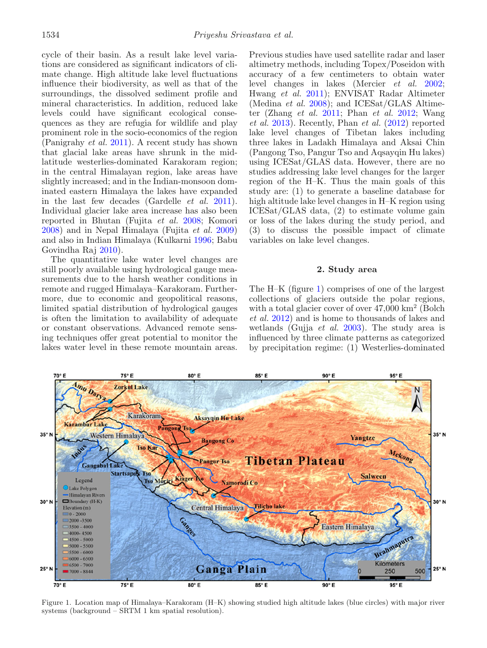cycle of their basin. As a result lake level variations are considered as significant indicators of climate change. High altitude lake level fluctuations influence their biodiversity, as well as that of the surroundings, the dissolved sediment profile and mineral characteristics. In addition, reduced lake levels could have significant ecological consequences as they are refugia for wildlife and play prominent role in the socio-economics of the region (Panigrahy *et al[.](#page-10-8)* [2011\)](#page-10-8). A recent study has shown that glacial lake areas have shrunk in the midlatitude westerlies-dominated Karakoram region; in the central Himalayan region, lake areas have slightly increased; and in the Indian-monsoon dominated eastern Himalaya the lakes have expanded in the last few decades (Gardelle et al[.](#page-9-11) [2011](#page-9-11)). Individual glacier lake area increase has also been reported in Bhutan (Fujita et al[.](#page-9-12) [2008;](#page-9-12) Komor[i](#page-9-13) [2008\)](#page-9-13) and in Nepal Himalaya (Fujita et al[.](#page-9-14) [2009](#page-9-14)) and also in Indian Himalaya (Kulkarn[i](#page-9-15) [1996;](#page-9-15) Babu Govindha Ra[j](#page-9-16) [2010\)](#page-9-16).

The quantitative lake water level changes are still poorly available using hydrological gauge measurements due to the harsh weather conditions in remote and rugged Himalaya–Karakoram. Furthermore, due to economic and geopolitical reasons, limited spatial distribution of hydrological gauges is often the limitation to availability of adequate or constant observations. Advanced remote sensing techniques offer great potential to monitor the lakes water level in these remote mountain areas.

Previous studies have used satellite radar and laser altimetry methods, including Topex/Poseidon with accuracy of a few centimeters to obtain water level changes in lakes (Mercier et al[.](#page-10-9) [2002](#page-10-9); Hwang et al[.](#page-9-17) [2011](#page-9-17)); ENVISAT Radar Altimeter (Medina et al[.](#page-9-18) [2008](#page-9-18)); and ICESat/GLAS Altimeter (Zhang et al[.](#page-10-5) [2011](#page-10-5); Phan et al[.](#page-10-6) [2012](#page-10-6); Wang et al[.](#page-10-7) [2013\)](#page-10-7). Recently, Phan et al[.](#page-10-6) [\(2012\)](#page-10-6) reported lake level changes of Tibetan lakes including three lakes in Ladakh Himalaya and Aksai Chin (Pangong Tso, Pangur Tso and Aqsayqin Hu lakes) using ICESat/GLAS data. However, there are no studies addressing lake level changes for the larger region of the H–K. Thus the main goals of this study are: (1) to generate a baseline database for high altitude lake level changes in H–K region using ICESat/GLAS data, (2) to estimate volume gain or loss of the lakes during the study period, and (3) to discuss the possible impact of climate variables on lake level changes.

# **2. Study area**

The H–K (figure [1\)](#page-1-0) comprises of one of the largest collections of glaciers outside the polar regions, with a total glacier cover of over  $47,000 \mathrm{km^2}$  (Bolch et al[.](#page-9-6) [2012](#page-9-6)) and is home to thousands of lakes and wetlands (Gujja *et al[.](#page-9-19)* [2003\)](#page-9-19). The study area is influenced by three climate patterns as categorized by precipitation regime: (1) Westerlies-dominated

<span id="page-1-0"></span>

Figure 1. Location map of Himalaya–Karakoram (H–K) showing studied high altitude lakes (blue circles) with major river systems (background – SRTM 1 km spatial resolution).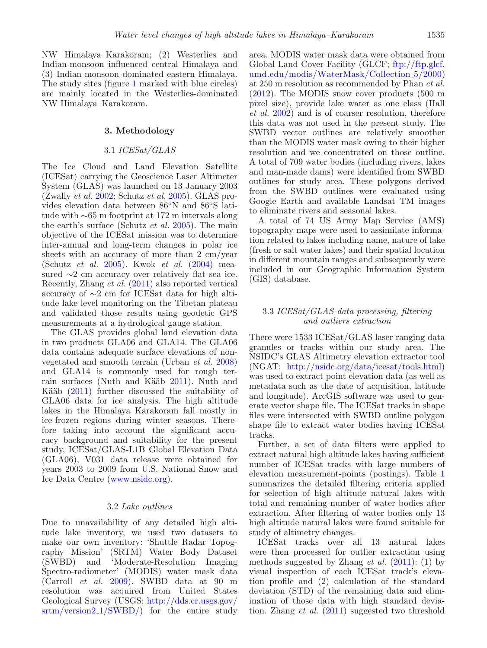NW Himalaya–Karakoram; (2) Westerlies and Indian-monsoon influenced central Himalaya and (3) Indian-monsoon dominated eastern Himalaya. The study sites (figure [1](#page-1-0) marked with blue circles) are mainly located in the Westerlies-dominated NW Himalaya–Karakoram.

## **3. Methodology**

# 3.1 ICESat/GLAS

The Ice Cloud and Land Elevation Satellite (ICESat) carrying the Geoscience Laser Altimeter System (GLAS) was launched on 13 January 2003  $(Zwall)$  et al[.](#page-10-11) [2002;](#page-10-10) Schutz et al. [2005](#page-10-11)). GLAS provides elevation data between  $86°$ N and  $86°$ S latitude with ∼65 m footprint at 172 m intervals along the earth's surface (Schutz et al[.](#page-10-11) [2005](#page-10-11)). The main objective of the ICESat mission was to determine inter-annual and long-term changes in polar ice sheets with an accuracy of more than 2 cm/year (Schutz et al[.](#page-10-11) [2005\)](#page-10-11). Kwok et al[.](#page-9-20) [\(2004\)](#page-9-20) measured ∼2 cm accuracy over relatively flat sea ice. Recently, Zhang et al[.](#page-10-5) [\(2011](#page-10-5)) also reported vertical accuracy of ∼2 cm for ICESat data for high altitude lake level monitoring on the Tibetan plateau and validated those results using geodetic GPS measurements at a hydrological gauge station.

The GLAS provides global land elevation data in two products GLA06 and GLA14. The GLA06 data contains adequate surface elevations of nonvegetated and smooth terrain (Urban et al[.](#page-10-12) [2008](#page-10-12)) and GLA14 is commonly used for rough terrain surfaces (Nuth and Kää[b](#page-10-13) [2011\)](#page-10-13). Nuth and Kää[b](#page-10-13)  $(2011)$  $(2011)$  further discussed the suitability of GLA06 data for ice analysis. The high altitude lakes in the Himalaya–Karakoram fall mostly in ice-frozen regions during winter seasons. Therefore taking into account the significant accuracy background and suitability for the present study, ICESat/GLAS-L1B Global Elevation Data (GLA06), V031 data release were obtained for years 2003 to 2009 from U.S. National Snow and Ice Data Centre [\(www.nsidc.org\)](http://www.nsidc.org).

#### 3.2 Lake outlines

Due to unavailability of any detailed high altitude lake inventory, we used two datasets to make our own inventory: 'Shuttle Radar Topography Mission' (SRTM) Water Body Dataset (SWBD) and 'Moderate-Resolution Imaging Spectro-radiometer' (MODIS) water mask data (Carroll et al[.](#page-9-21) [2009](#page-9-21)). SWBD data at 90 m resolution was acquired from United States Geological Survey (USGS; [http://dds.cr.usgs.gov/](http://dds.cr.usgs.gov/srtm/version2_1/SWBD/) [srtm/version2](http://dds.cr.usgs.gov/srtm/version2_1/SWBD/) 1/SWBD/) for the entire study area. MODIS water mask data were obtained from Global Land Cover Facility (GLCF; [ftp://ftp.glcf.](ftp://ftp.glcf.umd.edu/modis/WaterMask/Collection_5/2000) [umd.edu/modis/WaterMask/Collection](ftp://ftp.glcf.umd.edu/modis/WaterMask/Collection_5/2000) 5/2000) at 250 m resolution as recommended by Phan et al[.](#page-10-6) [\(2012\)](#page-10-6). The MODIS snow cover products (500 m pixel size), provide lake water as one class (Hall et al[.](#page-9-22) [2002\)](#page-9-22) and is of coarser resolution, therefore this data was not used in the present study. The SWBD vector outlines are relatively smoother than the MODIS water mask owing to their higher resolution and we concentrated on those outline. A total of 709 water bodies (including rivers, lakes and man-made dams) were identified from SWBD outlines for study area. These polygons derived from the SWBD outlines were evaluated using Google Earth and available Landsat TM images to eliminate rivers and seasonal lakes.

A total of 74 US Army Map Service (AMS) topography maps were used to assimilate information related to lakes including name, nature of lake (fresh or salt water lakes) and their spatial location in different mountain ranges and subsequently were included in our Geographic Information System (GIS) database.

# 3.3 ICESat/GLAS data processing, filtering and outliers extraction

There were 1533 ICESat/GLAS laser ranging data granules or tracks within our study area. The NSIDC's GLAS Altimetry elevation extractor tool (NGAT; [http://nsidc.org/data/icesat/tools.html\)](http://nsidc.org/data/icesat/tools.html) was used to extract point elevation data (as well as metadata such as the date of acquisition, latitude and longitude). ArcGIS software was used to generate vector shape file. The ICESat tracks in shape files were intersected with SWBD outline polygon shape file to extract water bodies having ICESat tracks.

Further, a set of data filters were applied to extract natural high altitude lakes having sufficient number of ICESat tracks with large numbers of elevation measurement-points (postings). Table [1](#page-3-0) summarizes the detailed filtering criteria applied for selection of high altitude natural lakes with total and remaining number of water bodies after extraction. After filtering of water bodies only 13 high altitude natural lakes were found suitable for study of altimetry changes.

ICESat tracks over all 13 natural lakes were then processed for outlier extraction using methods suggested by Zhang *et al[.](#page-10-5)*  $(2011)$  $(2011)$ :  $(1)$  by visual inspection of each ICESat track's elevation profile and (2) calculation of the standard deviation (STD) of the remaining data and elimination of those data with high standard deviation. Zhang et al[.](#page-10-5) [\(2011](#page-10-5)) suggested two threshold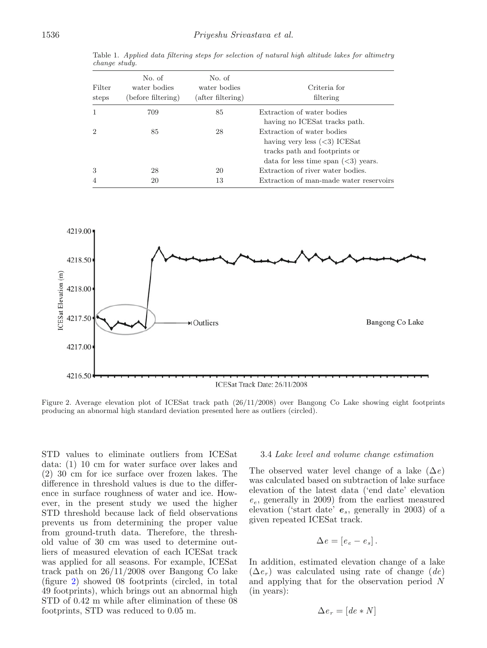<span id="page-3-0"></span>

|               |  |  |  |  |  |  | Table 1. Applied data filtering steps for selection of natural high altitude lakes for altimetry |
|---------------|--|--|--|--|--|--|--------------------------------------------------------------------------------------------------|
| change study. |  |  |  |  |  |  |                                                                                                  |
|               |  |  |  |  |  |  |                                                                                                  |

| Filter<br>steps             | No. of<br>water bodies<br>(before filtering) | No. of<br>water bodies<br>(after filtering) | Criteria for<br>filtering               |
|-----------------------------|----------------------------------------------|---------------------------------------------|-----------------------------------------|
| 1                           | 709                                          | 85                                          | Extraction of water bodies              |
|                             |                                              |                                             | having no ICES at tracks path.          |
| $\mathcal{D}_{\mathcal{L}}$ | 85                                           | 28                                          | Extraction of water bodies              |
|                             |                                              |                                             | having very less $(3)$ ICES at          |
|                             |                                              |                                             | tracks path and footprints or           |
|                             |                                              |                                             | data for less time span $(3)$ years.    |
| 3                           | 28                                           | 20                                          | Extraction of river water bodies.       |
| 4                           | 20                                           | 13                                          | Extraction of man-made water reservoirs |

<span id="page-3-1"></span>

Figure 2. Average elevation plot of ICESat track path (26/11/2008) over Bangong Co Lake showing eight footprints producing an abnormal high standard deviation presented here as outliers (circled).

STD values to eliminate outliers from ICESat data: (1) 10 cm for water surface over lakes and (2) 30 cm for ice surface over frozen lakes. The difference in threshold values is due to the difference in surface roughness of water and ice. However, in the present study we used the higher STD threshold because lack of field observations prevents us from determining the proper value from ground-truth data. Therefore, the threshold value of 30 cm was used to determine outliers of measured elevation of each ICESat track was applied for all seasons. For example, ICESat track path on 26/11/2008 over Bangong Co lake (figure [2\)](#page-3-1) showed 08 footprints (circled, in total 49 footprints), which brings out an abnormal high STD of 0.42 m while after elimination of these 08 footprints, STD was reduced to 0.05 m.

# 3.4 Lake level and volume change estimation

The observed water level change of a lake  $(\Delta e)$ was calculated based on subtraction of lake surface elevation of the latest data ('end date' elevation  $e_e$ , generally in 2009) from the earliest measured elevation ('start date' *e*s, generally in 2003) of a given repeated ICESat track.

$$
\Delta e = [e_e - e_s].
$$

In addition, estimated elevation change of a lake  $(\Delta e_r)$  was calculated using rate of change (de) and applying that for the observation period N (in years):

$$
\Delta e_r = [de * N]
$$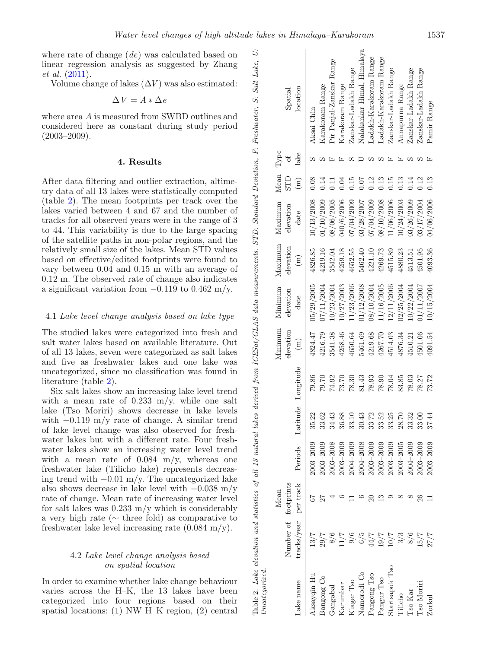where rate of change  $(de)$  was calculated based on linear regression analysis as suggested by Zhang et al[.](#page-10-5) [\(2011\)](#page-10-5).

Volume change of lakes  $(\Delta V)$  was also estimated:

$$
\Delta\,V=A*\Delta\,e
$$

where area A is measured from SWBD outlines and considered here as constant during study period  $(2003 - 2009)$ .

#### **4. Results**

After data filtering and outlier extraction, altimetry data of all 13 lakes were statistically computed (table [2\)](#page-4-0). The mean footprints per track over the lakes varied between 4 and 67 and the number of tracks for all observed years were in the range of 3 to 44. This variability is due to the large spacing of the satellite paths in non-polar regions, and the relatively small size of the lakes. Mean STD values based on effective/edited footprints were found to vary between 0.04 and 0.15 m with an average of 0.12 m. The observed rate of change also indicates a significant variation from  $-0.119$  to  $0.462$  m/y.

## 4.1 Lake level change analysis based on lake type

The studied lakes were categorized into fresh and salt water lakes based on available literature. Out of all 13 lakes, seven were categorized as salt lakes and five as freshwater lakes and one lake was uncategorized, since no classification was found in literature (table [2\)](#page-4-0).

Six salt lakes show an increasing lake level trend with a mean rate of  $0.233$  m/y, while one salt lake (Tso Moriri) shows decrease in lake levels with  $-0.119$  m/y rate of change. A similar trend of lake level change was also observed for freshwater lakes but with a different rate. Four freshwater lakes show an increasing water level trend with a mean rate of  $0.084$  m/y, whereas one freshwater lake (Tilicho lake) represents decreasing trend with  $-0.01$  m/y. The uncategorized lake also shows decrease in lake level with  $-0.038$  m/y rate of change. Mean rate of increasing water level for salt lakes was  $0.233$  m/y which is considerably a very high rate (∼ three fold) as comparative to freshwater lake level increasing rate  $(0.084 \text{ m/y})$ .

# <span id="page-4-1"></span><span id="page-4-0"></span>4.2 Lake level change analysis based on spatial location

In order to examine whether lake change behaviour varies across the H–K, the 13 lakes have been categorized into four regions based on their spatial locations: (1) NW H–K region, (2) central

| Uncategorized  |                      |           |                |                                   |                    |                |            |                |            |                 |      |                            |
|----------------|----------------------|-----------|----------------|-----------------------------------|--------------------|----------------|------------|----------------|------------|-----------------|------|----------------------------|
|                |                      | Mean      |                |                                   |                    | Minimum        | Minimum    | Maximum        | Maxinum    | Mean Type       |      |                            |
|                | Number of footprints |           |                |                                   |                    | elevation      | elevation  | elevation      | elevation  | <b>STD</b>      | Ъp   | Spatial                    |
| -ake name      | tracks/year          | per track | Periods        |                                   | Latitude Longitude | $\binom{m}{n}$ | date       | $\binom{m}{k}$ | date       | $\binom{m}{m}$  | lake | location                   |
| Aksayqin Hu    | 13/7                 |           | $2003 - 2009$  | 35.22                             | 79.86              | 4824.47        | 05/29/2005 | 4826.85        | 10/13/2008 | 0.08            |      | Aksai Chin                 |
| Bangong Co     |                      |           | $0.03 - 2009$  | 33.62                             | 79.70              | 4216.79        | 07/11/2004 | 4219.16        | 01/10/2009 | 0.14            |      | Karakoram Range            |
| Gangabal       | $\frac{29}{7}$       |           | $0.03 - 2008$  | 34.43                             | 74.92              | 3541.38        | 10/23/2004 | 3542.04        | 08/06/2005 | $\overline{11}$ |      | Pir Panjal-Zanskar Range   |
| Karumbar       | 11/7                 |           | $0.03 - 2009$  | 36.88                             | 73.70              | 4258.46        | 10/27/2003 | 4259.18        | 040/6/2006 | 0.04            |      | Karakoram Range            |
| Kiager Tso     | 9/6                  |           | $0004 - 2009$  | 33.1(                             | 78.30              | 4650.64        | 11/23/2006 | 4652.55        | 07/04/2009 | 0.15            |      | Zanskar-Ladakh Range       |
| Namorodi Co    | 6/5                  |           | 2004-2008      | 30.43                             | 81.43              | 5461.69        | 01/12/2008 | 5462.40        | 03/28/2007 | 0.07            |      | Nalakankar Himal, Himalaya |
| Pangong Tso    | $44/7$               |           | $2003 - 2009$  | 33.72                             | 78.93              | 4219.68        | 08/10/2004 | 4221.10        | 07/04/2009 | 0.12            |      | Ladakh-Karakoram Range     |
| Pangur Tso     | 19/7                 | ≌         | $2003 - 2009$  |                                   | 78.90              | 4267.70        | 11/16/2005 | 4269.73        | 08/10/2008 | 0.13            |      | Ladakh-Karakoram Range     |
| Startsapuk Tso | 10/7                 |           | $2003 - 2009$  | $33.52$<br>$33.25$<br>$28.70$     | 78.04              | 4514.03        | 12/11/2006 | 4515.89        | 11/06/2006 | 0.15            |      | Zanskar-Ladakh Range       |
| Tilicho        | 3/3                  |           | $2003 - 2005$  |                                   | 83.85              | 4876.34        | 02/25/2004 | 4880.23        | 10/24/2003 | 0.13            |      | Annapurna Range            |
| Tso Kar        | 8/6                  |           | $004 - 2009$   | $33.32$<br>$33.00$                | 78.03              | 4510.21        | .0/22/2004 | 4513.51        | 03/26/2009 | 0.14            |      | Zanskar-Ladakh Range       |
| I'so Moriri    | 15/7                 | 26        | $0.003 - 2009$ |                                   | 78.27              | 4501.06        | 11/11/2007 | 4501.95        | 03/17/2004 | 0.12            |      | Zanskar-Ladakh Range       |
| Zorkul         | 27/7                 |           | 2003-2009      | $\overline{\phantom{a}}$<br>37.44 | 73.72              | 4091.54        | 10/15/2004 | 4093.36        | 04/06/2006 | 0.13            |      | Pamir Range                |
|                |                      |           |                |                                   |                    |                |            |                |            |                 |      |                            |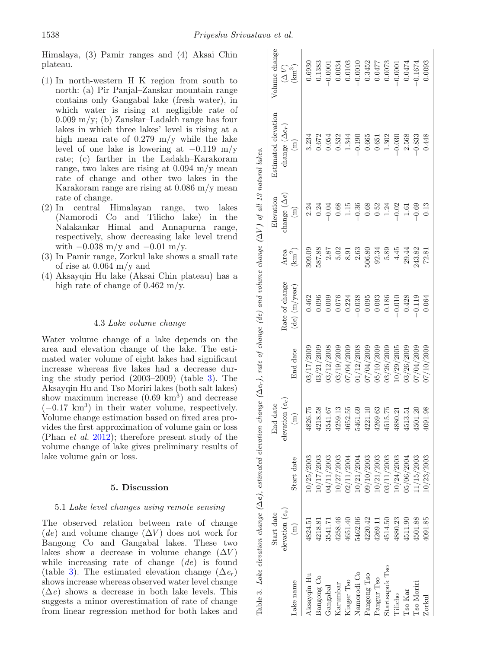Himalaya, (3) Pamir ranges and (4) Aksai Chin plateau.

- (1) In north-western H–K region from south to north: (a) Pir Panjal–Zanskar mountain range contains only Gangabal lake (fresh water), in which water is rising at negligible rate of 0.009 m/y; (b) Zanskar–Ladakh range has four lakes in which three lakes' level is rising at a high mean rate of 0.279 m/y while the lake level of one lake is lowering at  $-0.119$  m/y rate; (c) farther in the Ladakh–Karakoram range, two lakes are rising at 0.094 m/y mean rate of change and other two lakes in the Karakoram range are rising at 0.086 m/y mean rate of change.
- (2) In central Himalayan range, two lakes (Namorodi Co and Tilicho lake) in the Nalakankar Himal and Annapurna range, respectively, show decreasing lake level trend with  $-0.038$  m/y and  $-0.01$  m/y.
- (3) In Pamir range, Zorkul lake shows a small rate of rise at 0.064 m/y and
- (4) Aksayqin Hu lake (Aksai Chin plateau) has a high rate of change of  $0.462 \text{ m/y}$ .

## 4.3 Lake volume change

Water volume change of a lake depends on the area and elevation change of the lake. The estimated water volume of eight lakes had significant increase whereas five lakes had a decrease during the study period (2003–2009) (table [3\)](#page-5-0). The Aksayqin Hu and Tso Moriri lakes (both salt lakes) show maximum increase  $(0.69 \text{ km}^3)$  and decrease  $(-0.17 \text{ km}^3)$  in their water volume, respectively. Volume change estimation based on fixed area provides the first approximation of volume gain or loss (Phan et al[.](#page-10-6) [2012](#page-10-6)); therefore present study of the volume change of lake gives preliminary results of lake volume gain or loss.

#### <span id="page-5-0"></span>**5. Discussion**

#### 5.1 Lake level changes using remote sensing

The observed relation between rate of change  $(de)$  and volume change  $(\Delta V)$  does not work for Bangong Co and Gangabal lakes. These two lakes show a decrease in volume change  $(\Delta V)$ while increasing rate of change (de) is found (table [3\)](#page-5-0). The estimated elevation change  $(\Delta e_r)$ shows increase whereas observed water level change  $(\Delta e)$  shows a decrease in both lake levels. This suggests a minor overestimation of rate of change from linear regression method for both lakes and

|                | Start date        |              | End date          |            |                   |                                                     | Elevation           | Estimated elevation   | Volume change                   |
|----------------|-------------------|--------------|-------------------|------------|-------------------|-----------------------------------------------------|---------------------|-----------------------|---------------------------------|
|                | elevation $(e_s)$ |              | elevation $(e_e)$ |            | Rate of change    | Area                                                | change $(\Delta e)$ | change $(\Delta e_r)$ |                                 |
| Lake name      | $\binom{m}{n}$    | Start date   | $\Xi$             | End date   | $(de)$ $(m/year)$ | (km <sup>2</sup> )                                  | $\binom{1}{k}$      | $\binom{m}{m}$        | $\widetilde{\Delta}$ ) (km $^3$ |
| Aksayqin Hu    | 4824.51           | 0/25/2003    | 52<br>4826.       | 03/17/2009 | 0.462             | 309.09                                              | 2.24                | 3.234                 | 0.6930                          |
| Bangong Co     | 4218.81           | 0/17/2003    | 38<br>4218.       | 03/21/2009 | 0.096             | 587.88                                              | $-0.24$             | 0.672                 | $-0.1383$                       |
| Gangabal       | 3541.71           | 14/11/2003   | 79<br>3541.       | 03/12/2008 | 0.009             |                                                     | $-0.04$             | 0.054                 | $-0.0001$                       |
| Karumbar       | 4258.46           | 0/27/2003    | 4259.13           | 03/19/2009 | 0.076             | $\begin{array}{c} 2.87 \\ 5.02 \\ 8.91 \end{array}$ | $0.68\,$            | 0.532                 | 0.0034                          |
| Kiager Tso     | 4651.40           | 2/11/2004    | 55<br>4652.       | 07/04/2009 | 0.224             |                                                     | $1.15$              | 1.344                 | 0.0103                          |
| Namorodi Co    | 5462.06           | 0/21/2004    | 69<br>5461.       | 1/12/2008  | $-0.038$          | 2.63                                                | $-0.36$             | $-0.190$              | 0.0010                          |
| Pangong Tso    | 4220.42           | 09/10/2003   | $\Xi$<br>4221.    | 07/04/2009 | 0.095             | 506.80                                              | $0.68\,$            | 0.665                 | 0.3452                          |
| Pangur Tso     | 4269.11           | 0/21/2003    | 63<br>4269.       | 15/10/2009 | 0.093             | 92.34                                               | $0.52$<br>1.24      | 0.651                 | $22\bar{t}00$                   |
| Startsapuk Tso | 4514.50           | 03/11/2003   | 4515.75           | 13/26/2009 | 0.186             | 5.89                                                |                     | $1.302\,$             | 0.0073                          |
| Filicho        | 4880.23           | 0/24/2003    | 21<br>4880.       | .0/29/2005 | $-0.010$          | 4.45                                                | $-0.02$             | $-0.030$              | 0.0001                          |
| <b>Iso Kar</b> | 4511.90           | 06/2004/3004 | 51<br>4513.       | 03/26/2009 | 0.428             | 29.44                                               | $1.61$              | 2.568                 | 0.0474                          |
| I'so Moriri    | 4501.88           | 1/15/2003    | $\Omega$<br>4501. | 07/04/2009 | $-0.119$          | 243.82                                              | $-0.69$             | $-0.833$              | $-0.1674$                       |
| Zorkul         | 4091.85           | 0/23/2003    | 98<br>4091.       | 7/10/2009  | 0.064             | 72.81                                               | 0.13                | 0.448                 | 0.0093                          |
|                |                   |              |                   |            |                   |                                                     |                     |                       |                                 |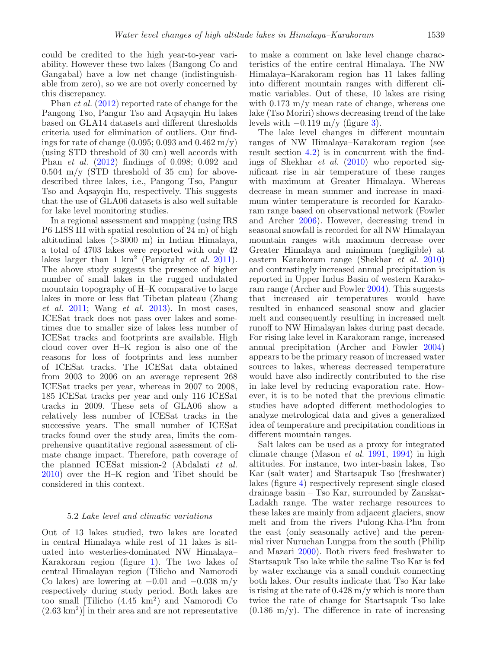could be credited to the high year-to-year variability. However these two lakes (Bangong Co and Gangabal) have a low net change (indistinguishable from zero), so we are not overly concerned by this discrepancy.

Phan et al[.](#page-10-6) [\(2012\)](#page-10-6) reported rate of change for the Pangong Tso, Pangur Tso and Aqsayqin Hu lakes based on GLA14 datasets and different thresholds criteria used for elimination of outliers. Our findings for rate of change  $(0.095; 0.093$  and  $0.462 \text{ m/y})$ (using STD threshold of 30 cm) well accords with Phan et al[.](#page-10-6) [\(2012](#page-10-6)) findings of 0.098; 0.092 and  $0.504 \, \text{m/y}$  (STD threshold of 35 cm) for abovedescribed three lakes, i.e., Pangong Tso, Pangur Tso and Aqsayqin Hu, respectively. This suggests that the use of GLA06 datasets is also well suitable for lake level monitoring studies.

In a regional assessment and mapping (using IRS P6 LISS III with spatial resolution of 24 m) of high altitudinal lakes (>3000 m) in Indian Himalaya, a total of 4703 lakes were reported with only 42 lakes larger than 1 km<sup>2</sup> (Panigrahy *et al[.](#page-10-8)* [2011](#page-10-8)). The above study suggests the presence of higher number of small lakes in the rugged undulated mountain topography of H–K comparative to large lakes in more or less flat Tibetan plateau (Zhang  $et \ al. 2011$  $et \ al. 2011$  $et \ al. 2011$  $et \ al. 2011$ ; Wang  $et \ al. 2013$  $et \ al. 2013$ ). In most cases, ICESat track does not pass over lakes and sometimes due to smaller size of lakes less number of ICESat tracks and footprints are available. High cloud cover over H–K region is also one of the reasons for loss of footprints and less number of ICESat tracks. The ICESat data obtained from 2003 to 2006 on an average represent 268 ICESat tracks per year, whereas in 2007 to 2008, 185 ICESat tracks per year and only 116 ICESat tracks in 2009. These sets of GLA06 show a relatively less number of ICESat tracks in the successive years. The small number of ICESat tracks found over the study area, limits the comprehensive quantitative regional assessment of climate change impact. Therefore, path coverage of the planned ICESat mission-2 (Abdalati et al[.](#page-9-23) [2010\)](#page-9-23) over the H–K region and Tibet should be considered in this context.

# 5.2 Lake level and climatic variations

Out of 13 lakes studied, two lakes are located in central Himalaya while rest of 11 lakes is situated into westerlies-dominated NW Himalaya– Karakoram region (figure [1\)](#page-1-0). The two lakes of central Himalayan region (Tilicho and Namorodi Co lakes) are lowering at  $-0.01$  and  $-0.038$  m/y respectively during study period. Both lakes are too small [Tilicho (4.45 km<sup>2</sup>) and Namorodi Co  $(2.63 \text{ km}^2)$  in their area and are not representative

to make a comment on lake level change characteristics of the entire central Himalaya. The NW Himalaya–Karakoram region has 11 lakes falling into different mountain ranges with different climatic variables. Out of these, 10 lakes are rising with  $0.173 \text{ m/y}$  mean rate of change, whereas one lake (Tso Moriri) shows decreasing trend of the lake levels with  $-0.119$  m/y (figure [3\)](#page-7-0).

The lake level changes in different mountain ranges of NW Himalaya–Karakoram region (see result section [4.2\)](#page-4-1) is in concurrent with the findings of Shekhar et al[.](#page-10-14) [\(2010](#page-10-14)) who reported significant rise in air temperature of these ranges with maximum at Greater Himalaya. Whereas decrease in mean summer and increase in maximum winter temperature is recorded for Karakoram range based on observational network (Fowler and Arche[r](#page-9-24) [2006](#page-9-24)). However, decreasing trend in seasonal snowfall is recorded for all NW Himalayan mountain ranges with maximum decrease over Greater Himalaya and minimum (negligible) at eastern Karakoram range (Shekhar et al[.](#page-10-14) [2010](#page-10-14)) and contrastingly increased annual precipitation is reported in Upper Indus Basin of western Karakoram range (Archer and Fowle[r](#page-9-25) [2004](#page-9-25)). This suggests that increased air temperatures would have resulted in enhanced seasonal snow and glacier melt and consequently resulting in increased melt runoff to NW Himalayan lakes during past decade. For rising lake level in Karakoram range, increased annual precipitation (Archer and Fowle[r](#page-9-25) [2004](#page-9-25)) appears to be the primary reason of increased water sources to lakes, whereas decreased temperature would have also indirectly contributed to the rise in lake level by reducing evaporation rate. However, it is to be noted that the previous climatic studies have adopted different methodologies to analyze metrological data and gives a generalized idea of temperature and precipitation conditions in different mountain ranges.

Salt lakes can be used as a proxy for integrated climate change (Mason et al[.](#page-9-26) [1991](#page-9-26), [1994](#page-9-27)) in high altitudes. For instance, two inter-basin lakes, Tso Kar (salt water) and Startsapuk Tso (freshwater) lakes (figure [4\)](#page-8-0) respectively represent single closed drainage basin – Tso Kar, surrounded by Zanskar-Ladakh range. The water recharge resources to these lakes are mainly from adjacent glaciers, snow melt and from the rivers Pulong-Kha-Phu from the east (only seasonally active) and the perennial river Nuruchan Lungpa from the south (Philip and Mazar[i](#page-10-15) [2000](#page-10-15)). Both rivers feed freshwater to Startsapuk Tso lake while the saline Tso Kar is fed by water exchange via a small conduit connecting both lakes. Our results indicate that Tso Kar lake is rising at the rate of 0.428 m/y which is more than twice the rate of change for Startsapuk Tso lake  $(0.186 \text{ m/y})$ . The difference in rate of increasing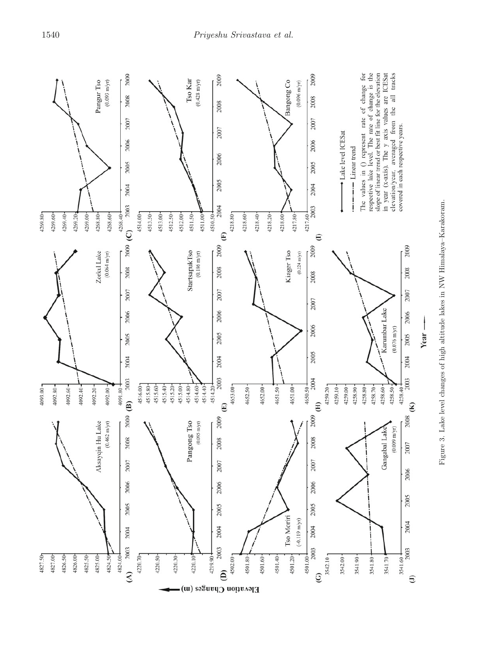<span id="page-7-0"></span>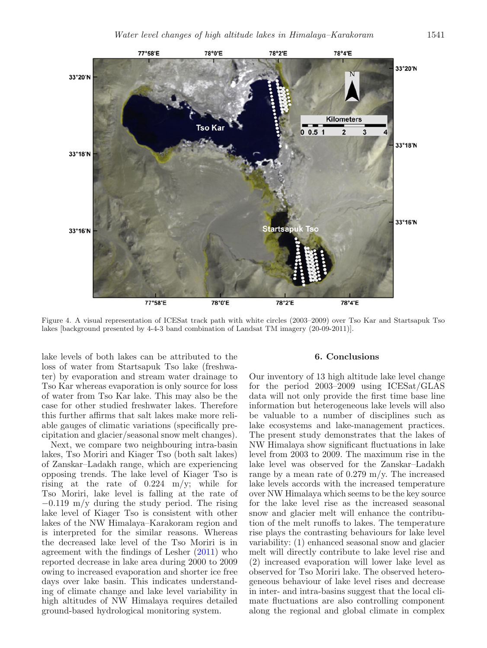<span id="page-8-0"></span>

Figure 4. A visual representation of ICESat track path with white circles (2003–2009) over Tso Kar and Startsapuk Tso lakes [background presented by 4-4-3 band combination of Landsat TM imagery (20-09-2011)].

lake levels of both lakes can be attributed to the loss of water from Startsapuk Tso lake (freshwater) by evaporation and stream water drainage to Tso Kar whereas evaporation is only source for loss of water from Tso Kar lake. This may also be the case for other studied freshwater lakes. Therefore this further affirms that salt lakes make more reliable gauges of climatic variations (specifically precipitation and glacier/seasonal snow melt changes).

Next, we compare two neighbouring intra-basin lakes, Tso Moriri and Kiager Tso (both salt lakes) of Zanskar–Ladakh range, which are experiencing opposing trends. The lake level of Kiager Tso is rising at the rate of 0.224 m/y; while for Tso Moriri, lake level is falling at the rate of −0.119 m/y during the study period. The rising lake level of Kiager Tso is consistent with other lakes of the NW Himalaya–Karakoram region and is interpreted for the similar reasons. Whereas the decreased lake level of the Tso Moriri is in agreement with the findings of Leshe[r](#page-9-28) [\(2011\)](#page-9-28) who reported decrease in lake area during 2000 to 2009 owing to increased evaporation and shorter ice free days over lake basin. This indicates understanding of climate change and lake level variability in high altitudes of NW Himalaya requires detailed ground-based hydrological monitoring system.

#### **6. Conclusions**

Our inventory of 13 high altitude lake level change for the period 2003–2009 using ICESat/GLAS data will not only provide the first time base line information but heterogeneous lake levels will also be valuable to a number of disciplines such as lake ecosystems and lake-management practices. The present study demonstrates that the lakes of NW Himalaya show significant fluctuations in lake level from 2003 to 2009. The maximum rise in the lake level was observed for the Zanskar–Ladakh range by a mean rate of  $0.279$  m/y. The increased lake levels accords with the increased temperature over NW Himalaya which seems to be the key source for the lake level rise as the increased seasonal snow and glacier melt will enhance the contribution of the melt runoffs to lakes. The temperature rise plays the contrasting behaviours for lake level variability: (1) enhanced seasonal snow and glacier melt will directly contribute to lake level rise and (2) increased evaporation will lower lake level as observed for Tso Moriri lake. The observed heterogeneous behaviour of lake level rises and decrease in inter- and intra-basins suggest that the local climate fluctuations are also controlling component along the regional and global climate in complex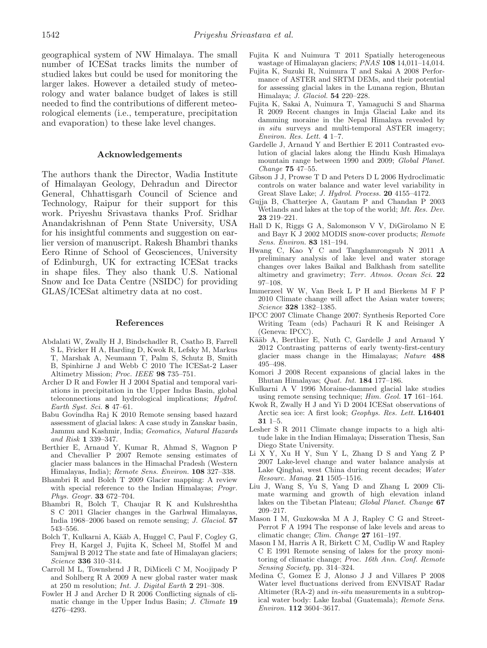geographical system of NW Himalaya. The small number of ICESat tracks limits the number of studied lakes but could be used for monitoring the larger lakes. However a detailed study of meteorology and water balance budget of lakes is still needed to find the contributions of different meteorological elements (i.e., temperature, precipitation and evaporation) to these lake level changes.

#### **Acknowledgements**

The authors thank the Director, Wadia Institute of Himalayan Geology, Dehradun and Director General, Chhattisgarh Council of Science and Technology, Raipur for their support for this work. Priyeshu Srivastava thanks Prof. Sridhar Anandakrishnan of Penn State University, USA for his insightful comments and suggestion on earlier version of manuscript. Rakesh Bhambri thanks Eero Rinne of School of Geosciences, University of Edinburgh, UK for extracting ICESat tracks in shape files. They also thank U.S. National Snow and Ice Data Centre (NSIDC) for providing GLAS/ICESat altimetry data at no cost.

#### **References**

- <span id="page-9-23"></span>Abdalati W, Zwally H J, Bindschadler R, Csatho B, Farrell S L, Fricker H A, Harding D, Kwok R, Lefsky M, Markus T, Marshak A, Neumann T, Palm S, Schutz B, Smith B, Spinhirne J and Webb C 2010 The ICESat-2 Laser Altimetry Mission; Proc. IEEE **98** 735–751.
- <span id="page-9-25"></span>Archer D R and Fowler H J 2004 Spatial and temporal variations in precipitation in the Upper Indus Basin, global teleconnections and hydrological implications; Hydrol. Earth Syst. Sci. **8** 47–61.
- <span id="page-9-16"></span>Babu Govindha Raj K 2010 Remote sensing based hazard assessment of glacial lakes: A case study in Zanskar basin, Jammu and Kashmir, India; Geomatics, Natural Hazards and Risk **1** 339–347.
- <span id="page-9-2"></span>Berthier E, Arnaud Y, Kumar R, Ahmad S, Wagnon P and Chevallier P 2007 Remote sensing estimates of glacier mass balances in the Himachal Pradesh (Western Himalayas, India); Remote Sens. Environ. **108** 327–338.
- <span id="page-9-3"></span>Bhambri R and Bolch T 2009 Glacier mapping: A review with special reference to the Indian Himalayas; *Progr.* Phys. Geogr. **33** 672–704.
- <span id="page-9-4"></span>Bhambri R, Bolch T, Chaujar R K and Kulshreshtha S C 2011 Glacier changes in the Garhwal Himalayas, India 1968–2006 based on remote sensing; J. Glaciol. **57** 543–556.
- <span id="page-9-6"></span>Bolch T, Kulkarni A, Kääb A, Huggel C, Paul F, Cogley G, Frey H, Kargel J, Fujita K, Scheel M, Stoffel M and Samjwal B 2012 The state and fate of Himalayan glaciers; Science **336** 310–314.
- <span id="page-9-21"></span>Carroll M L, Townshend J R, DiMiceli C M, Noojipady P and Sohlberg R A 2009 A new global raster water mask at 250 m resolution; Int. J. Digital Earth **2** 291–308.
- <span id="page-9-24"></span>Fowler H J and Archer D R 2006 Conflicting signals of climatic change in the Upper Indus Basin; J. Climate **19** 4276–4293.
- <span id="page-9-5"></span>Fujita K and Nuimura T 2011 Spatially heterogeneous wastage of Himalayan glaciers; PNAS **108** 14,011–14,014.
- <span id="page-9-12"></span>Fujita K, Suzuki R, Nuimura T and Sakai A 2008 Performance of ASTER and SRTM DEMs, and their potential for assessing glacial lakes in the Lunana region, Bhutan Himalaya; J. Glaciol. **54** 220–228.
- <span id="page-9-14"></span>Fujita K, Sakai A, Nuimura T, Yamaguchi S and Sharma R 2009 Recent changes in Imja Glacial Lake and its damming moraine in the Nepal Himalaya revealed by in situ surveys and multi-temporal ASTER imagery; Environ. Res. Lett. **4** 1–7.
- <span id="page-9-11"></span>Gardelle J, Arnaud Y and Berthier E 2011 Contrasted evolution of glacial lakes along the Hindu Kush Himalaya mountain range between 1990 and 2009; Global Planet. Change **75** 47–55.
- <span id="page-9-9"></span>Gibson J J, Prowse T D and Peters D L 2006 Hydroclimatic controls on water balance and water level variability in Great Slave Lake; J. Hydrol. Process. **20** 4155–4172.
- <span id="page-9-19"></span>Gujja B, Chatterjee A, Gautam P and Chandan P 2003 Wetlands and lakes at the top of the world; Mt. Res. Dev. **23** 219–221.
- <span id="page-9-22"></span>Hall D K, Riggs G A, Salomonson V V, DiGirolamo N E and Bayr K J 2002 MODIS snow-cover products; Remote Sens. Environ. **83** 181–194.
- <span id="page-9-17"></span>Hwang C, Kao Y C and Tangdamrongsub N 2011 A preliminary analysis of lake level and water storage changes over lakes Baikal and Balkhash from satellite altimetry and gravimetry; Terr. Atmos. Ocean Sci. **22** 97–108.
- <span id="page-9-1"></span>Immerzeel W W, Van Beek L P H and Bierkens M F P 2010 Climate change will affect the Asian water towers; Science **328** 1382–1385.
- <span id="page-9-0"></span>IPCC 2007 Climate Change 2007: Synthesis Reported Core Writing Team (eds) Pachauri R K and Reisinger A (Geneva: IPCC).
- <span id="page-9-7"></span>Kääb A, Berthier E, Nuth C, Gardelle J and Arnaud Y 2012 Contrasting patterns of early twenty-first-century glacier mass change in the Himalayas; Nature **488** 495–498.
- <span id="page-9-13"></span>Komori J 2008 Recent expansions of glacial lakes in the Bhutan Himalayas; Quat. Int. **184** 177–186.
- <span id="page-9-15"></span>Kulkarni A V 1996 Moraine-dammed glacial lake studies using remote sensing technique; Him. Geol. **17** 161–164.
- <span id="page-9-20"></span>Kwok R, Zwally H J and Yi D 2004 ICESat observations of Arctic sea ice: A first look; Geophys. Res. Lett. **L16401 31** 1–5.
- <span id="page-9-28"></span>Lesher S R 2011 Climate change impacts to a high altitude lake in the Indian Himalaya; Disseration Thesis, San Diego State University.
- <span id="page-9-8"></span>Li X Y, Xu H Y, Sun Y L, Zhang D S and Yang Z P 2007 Lake-level change and water balance analysis at Lake Qinghai, west China during recent decades; Water Resourc. Manag. **21** 1505–1516.
- <span id="page-9-10"></span>Liu J, Wang S, Yu S, Yang D and Zhang L 2009 Climate warming and growth of high elevation inland lakes on the Tibetan Plateau; Global Planet. Change **67** 209–217.
- <span id="page-9-27"></span>Mason I M, Guzkowska M A J, Rapley C G and Street-Perrot F A 1994 The response of lake levels and areas to climatic change; Clim. Change **27** 161–197.
- <span id="page-9-26"></span>Mason I M, Harris A R, Birkett C M, Cudlip W and Rapley C E 1991 Remote sensing of lakes for the proxy monitoring of climatic change; Proc. 16th Ann. Conf. Remote Sensing Society, pp. 314–324.
- <span id="page-9-18"></span>Medina C, Gomez E J, Alonso J J and Villares P 2008 Water level fluctuations derived from ENVISAT Radar Altimeter (RA-2) and in-situ measurements in a subtropical water body: Lake Izabal (Guatemala); Remote Sens. Environ. **112** 3604–3617.